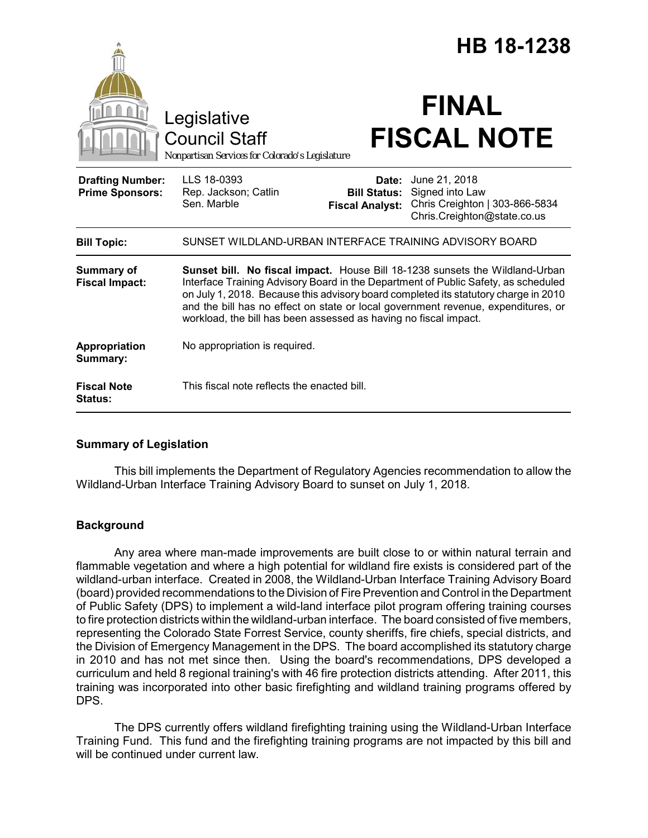|                                                   |                                                                                                                                                                                                                                                                                                                                                                                                                    | HB 18-1238                                             |                                                                                                   |
|---------------------------------------------------|--------------------------------------------------------------------------------------------------------------------------------------------------------------------------------------------------------------------------------------------------------------------------------------------------------------------------------------------------------------------------------------------------------------------|--------------------------------------------------------|---------------------------------------------------------------------------------------------------|
|                                                   | Legislative<br><b>Council Staff</b><br>Nonpartisan Services for Colorado's Legislature                                                                                                                                                                                                                                                                                                                             |                                                        | <b>FINAL</b><br><b>FISCAL NOTE</b>                                                                |
| <b>Drafting Number:</b><br><b>Prime Sponsors:</b> | LLS 18-0393<br>Rep. Jackson; Catlin<br>Sen. Marble                                                                                                                                                                                                                                                                                                                                                                 | Date:<br><b>Bill Status:</b><br><b>Fiscal Analyst:</b> | June 21, 2018<br>Signed into Law<br>Chris Creighton   303-866-5834<br>Chris.Creighton@state.co.us |
| <b>Bill Topic:</b>                                | SUNSET WILDLAND-URBAN INTERFACE TRAINING ADVISORY BOARD                                                                                                                                                                                                                                                                                                                                                            |                                                        |                                                                                                   |
| Summary of<br><b>Fiscal Impact:</b>               | Sunset bill. No fiscal impact. House Bill 18-1238 sunsets the Wildland-Urban<br>Interface Training Advisory Board in the Department of Public Safety, as scheduled<br>on July 1, 2018. Because this advisory board completed its statutory charge in 2010<br>and the bill has no effect on state or local government revenue, expenditures, or<br>workload, the bill has been assessed as having no fiscal impact. |                                                        |                                                                                                   |
| Appropriation<br>Summary:                         | No appropriation is required.                                                                                                                                                                                                                                                                                                                                                                                      |                                                        |                                                                                                   |
| <b>Fiscal Note</b><br><b>Status:</b>              | This fiscal note reflects the enacted bill.                                                                                                                                                                                                                                                                                                                                                                        |                                                        |                                                                                                   |

# **Summary of Legislation**

This bill implements the Department of Regulatory Agencies recommendation to allow the Wildland-Urban Interface Training Advisory Board to sunset on July 1, 2018.

# **Background**

Any area where man-made improvements are built close to or within natural terrain and flammable vegetation and where a high potential for wildland fire exists is considered part of the wildland-urban interface. Created in 2008, the Wildland-Urban Interface Training Advisory Board (board) provided recommendations to the Division of Fire Prevention and Control in the Department of Public Safety (DPS) to implement a wild-land interface pilot program offering training courses to fire protection districts within the wildland-urban interface. The board consisted of five members, representing the Colorado State Forrest Service, county sheriffs, fire chiefs, special districts, and the Division of Emergency Management in the DPS. The board accomplished its statutory charge in 2010 and has not met since then. Using the board's recommendations, DPS developed a curriculum and held 8 regional training's with 46 fire protection districts attending. After 2011, this training was incorporated into other basic firefighting and wildland training programs offered by DPS.

The DPS currently offers wildland firefighting training using the Wildland-Urban Interface Training Fund. This fund and the firefighting training programs are not impacted by this bill and will be continued under current law.